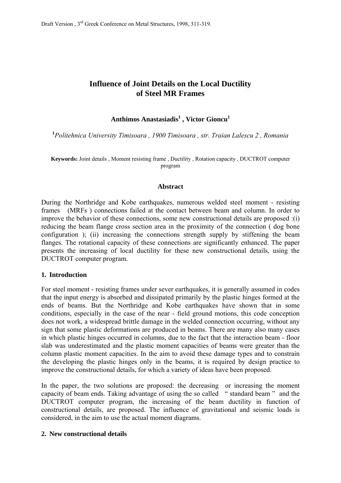# **Influence of Joint Details on the Local Ductility of Steel MR Frames**

# $\mathbf{A}$ nthimos Anastasiadis<sup>1</sup>, Victor Gioncu<sup>1</sup>

**1** *Politehnica University Timisoara , 1900 Timisoara , str. Traian Lalescu 2 , Romania* 

**Keywords:** Joint details , Moment resisting frame , Ductility , Rotation capacity , DUCTROT computer program

#### **Abstract**

During the Northridge and Kobe earthquakes, numerous welded steel moment - resisting frames (MRFs ) connections failed at the contact between beam and column. In order to improve the behavior of these connections, some new constructional details are proposed :(i) reducing the beam flange cross section area in the proximity of the connection ( dog bone configuration ); (ii) increasing the connections strength supply by stiffening the beam flanges. The rotational capacity of these connections are significantly enhanced. The paper presents the increasing of local ductility for these new constructional details, using the DUCTROT computer program.

#### **1. Introduction**

For steel moment - resisting frames under sever earthquakes, it is generally assumed in codes that the input energy is absorbed and dissipated primarily by the plastic hinges formed at the ends of beams. But the Northridge and Kobe earthquakes have shown that in some conditions, especially in the case of the near - field ground motions, this code conception does not work, a widespread brittle damage in the welded connection occurring, without any sign that some plastic deformations are produced in beams. There are many also many cases in which plastic hinges occurred in columns, due to the fact that the interaction beam - floor slab was underestimated and the plastic moment capacities of beams were greater than the column plastic moment capacities. In the aim to avoid these damage types and to constrain the developing the plastic hinges only in the beams, it is required by design practice to improve the constructional details, for which a variety of ideas have been proposed.

In the paper, the two solutions are proposed: the decreasing or increasing the moment capacity of beam ends. Taking advantage of using the so called " standard beam " and the DUCTROT computer program, the increasing of the beam ductility in function of constructional details, are proposed. The influence of gravitational and seismic loads is considered, in the aim to use the actual moment diagrams.

### **2. New constructional details**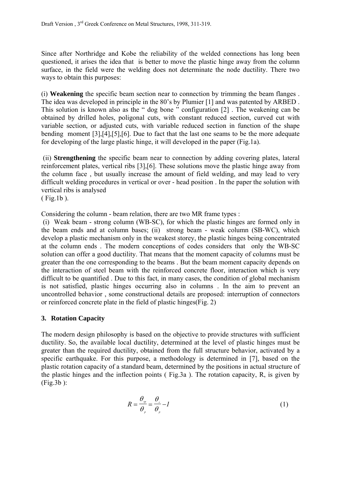Since after Northridge and Kobe the reliability of the welded connections has long been questioned, it arises the idea that is better to move the plastic hinge away from the column surface, in the field were the welding does not determinate the node ductility. There two ways to obtain this purposes:

(i) **Weakening** the specific beam section near to connection by trimming the beam flanges . The idea was developed in principle in the 80's by Plumier [1] and was patented by ARBED . This solution is known also as the " dog bone " configuration [2] . The weakening can be obtained by drilled holes, poligonal cuts, with constant reduced section, curved cut with variable section, or adjusted cuts, with variable reduced section in function of the shape bending moment [3],[4],[5],[6]. Due to fact that the last one seams to be the more adequate for developing of the large plastic hinge, it will developed in the paper (Fig.1a).

 (ii) **Strengthening** the specific beam near to connection by adding covering plates, lateral reinforcement plates, vertical ribs [3],[6]. These solutions move the plastic hinge away from the column face , but usually increase the amount of field welding, and may lead to very difficult welding procedures in vertical or over - head position . In the paper the solution with vertical ribs is analysed ( Fig.1b ).

Considering the column - beam relation, there are two MR frame types :

 (i) Weak beam - strong column (WB-SC), for which the plastic hinges are formed only in the beam ends and at column bases; (ii) strong beam - weak column (SB-WC), which develop a plastic mechanism only in the weakest storey, the plastic hinges being concentrated at the column ends . The modern conceptions of codes considers that only the WB-SC solution can offer a good ductility. That means that the moment capacity of columns must be greater than the one corresponding to the beams . But the beam moment capacity depends on the interaction of steel beam with the reinforced concrete floor, interaction which is very difficult to be quantified . Due to this fact, in many cases, the condition of global mechanism is not satisfied, plastic hinges occurring also in columns . In the aim to prevent an uncontrolled behavior , some constructional details are proposed: interruption of connectors or reinforced concrete plate in the field of plastic hinges(Fig. 2)

### **3. Rotation Capacity**

The modern design philosophy is based on the objective to provide structures with sufficient ductility. So, the available local ductility, determined at the level of plastic hinges must be greater than the required ductility, obtained from the full structure behavior, activated by a specific earthquake. For this purpose, a methodology is determined in [7], based on the plastic rotation capacity of a standard beam, determined by the positions in actual structure of the plastic hinges and the inflection points ( Fig.3a ). The rotation capacity, R, is given by (Fig.3b ):

$$
R = \frac{\theta_{p}}{\theta_{p}} = \frac{\theta_{r}}{\theta_{p}} - I
$$
 (1)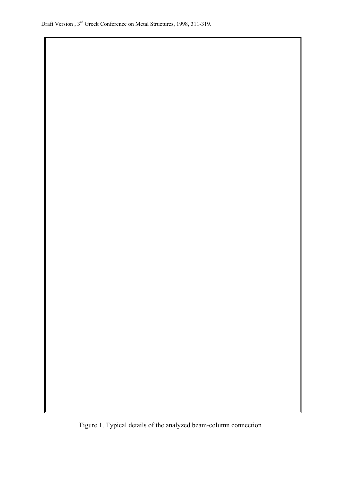Draft Version , 3rd Greek Conference on Metal Structures, 1998, 311-319.

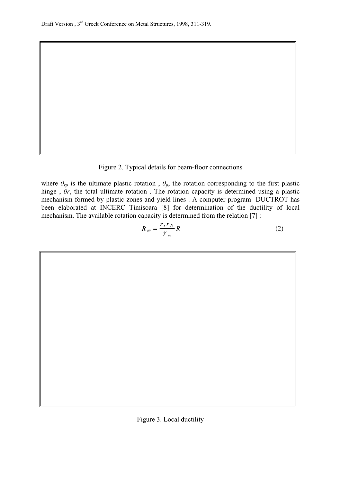Figure 2. Typical details for beam-floor connections

where  $\theta_{rp}$  is the ultimate plastic rotation,  $\theta_p$ , the rotation corresponding to the first plastic hinge , *θr*, the total ultimate rotation . The rotation capacity is determined using a plastic mechanism formed by plastic zones and yield lines . A computer program DUCTROT has been elaborated at INCERC Timisoara [8] for determination of the ductility of local mechanism. The available rotation capacity is determined from the relation [7] :

$$
R_{av} = \frac{r_s r_N}{\gamma_m} R \tag{2}
$$



$$
\frac{1}{\sqrt{2}}\left(\frac{1}{\sqrt{2}}\right)^{2}=\frac{1}{\sqrt{2}}\left(\frac{1}{\sqrt{2}}\right)^{2}=\frac{1}{\sqrt{2}}\left(\frac{1}{\sqrt{2}}\right)^{2}=\frac{1}{\sqrt{2}}\left(\frac{1}{\sqrt{2}}\right)^{2}=\frac{1}{\sqrt{2}}\left(\frac{1}{\sqrt{2}}\right)^{2}=\frac{1}{\sqrt{2}}\left(\frac{1}{\sqrt{2}}\right)^{2}=\frac{1}{\sqrt{2}}\left(\frac{1}{\sqrt{2}}\right)^{2}=\frac{1}{\sqrt{2}}\left(\frac{1}{\sqrt{2}}\right)^{2}=\frac{1}{\sqrt{2}}\left(\frac{1}{\sqrt{2}}\right)^{2}=\frac{1}{\sqrt{2}}\left(\frac{1}{\sqrt{2}}\right)^{2}=\frac{1}{\sqrt{2}}\left(\frac{1}{\sqrt{2}}\right)^{2}=\frac{1}{\sqrt{2}}\left(\frac{1}{\sqrt{2}}\right)^{2}=\frac{1}{\sqrt{2}}\left(\frac{1}{\sqrt{2}}\right)^{2}=\frac{1}{\sqrt{2}}\left(\frac{1}{\sqrt{2}}\right)^{2}=\frac{1}{\sqrt{2}}\left(\frac{1}{\sqrt{2}}\right)^{2}=\frac{1}{\sqrt{2}}\left(\frac{1}{\sqrt{2}}\right)^{2}=\frac{1}{\sqrt{2}}\left(\frac{1}{\sqrt{2}}\right)^{2}=\frac{1}{\sqrt{2}}\left(\frac{1}{\sqrt{2}}\right)^{2}=\frac{1}{\sqrt{2}}\left(\frac{1}{\sqrt{2}}\right)^{2}=\frac{1}{\sqrt{2}}\left(\frac{1}{\sqrt{2}}\right)^{2}=\frac{1}{\sqrt{2}}\left(\frac{1}{\sqrt{2}}\right)^{2}=\frac{1}{\sqrt{2}}\left(\frac{1}{\sqrt{2}}\right)^{2}=\frac{1}{\sqrt{2}}\left(\frac{1}{\sqrt{2}}\right)^{2}=\frac{1}{\sqrt{2}}\left(\frac{1}{\sqrt{2}}\right)^{2}=\frac{1}{\sqrt{2}}\left(\frac{1}{\sqrt{2}}\right)^{2}=\frac{1}{\sqrt{2}}\left(\frac{1}{\sqrt{2}}\right)^{2}=\frac{1}{\sqrt{2}}\left(\frac{1}{\sqrt{2}}\right)^{2}=\frac{1
$$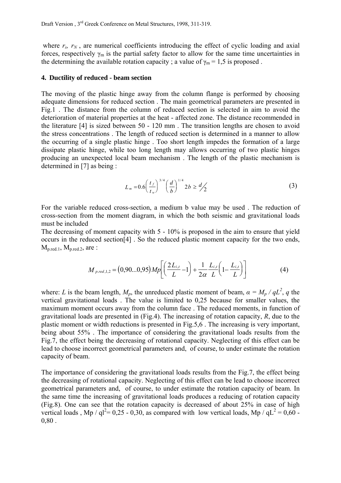where  $r_s$ ,  $r_N$ , are numerical coefficients introducing the effect of cyclic loading and axial forces, respectively  $\gamma_m$  is the partial safety factor to allow for the same time uncertainties in the determining the available rotation capacity ; a value of  $\gamma_m = 1.5$  is proposed.

#### **4. Ductility of reduced - beam section**

The moving of the plastic hinge away from the column flange is performed by choosing adequate dimensions for reduced section . The main geometrical parameters are presented in Fig.1 . The distance from the column of reduced section is selected in aim to avoid the deterioration of material properties at the heat - affected zone. The distance recommended in the literature [4] is sized between 50 - 120 mm . The transition lengths are chosen to avoid the stress concentrations . The length of reduced section is determined in a manner to allow the occurring of a single plastic hinge . Too short length impedes the formation of a large dissipate plastic hinge, while too long length may allows occurring of two plastic hinges producing an unexpected local beam mechanism . The length of the plastic mechanism is determined in [7] as being :

$$
L_m = 0.6 \left(\frac{t_f}{t_w}\right)^{3/4} \left(\frac{d}{b}\right)^{1/4} 2b \ge \frac{d}{2} \tag{3}
$$

For the variable reduced cross-section, a medium b value may be used . The reduction of cross-section from the moment diagram, in which the both seismic and gravitational loads must be included

The decreasing of moment capacity with 5 - 10% is proposed in the aim to ensure that yield occurs in the reduced section[4] . So the reduced plastic moment capacity for the two ends,  $M<sub>p.red.1</sub>, M<sub>p.red.2</sub>, are:$ 

$$
M_{p.read,1,2} = (0,90...0,95)Mp \left[ \left( \frac{2L_{i,t}}{L} - 1 \right) + \frac{1}{2\alpha} \frac{L_{i,t}}{L} \left( 1 - \frac{L_{i,t}}{L} \right) \right]
$$
(4)

where: *L* is the beam length,  $M_p$ , the unreduced plastic moment of beam,  $\alpha = M_p / qL^2$ , q the vertical gravitational loads . The value is limited to 0,25 because for smaller values, the maximum moment occurs away from the column face . The reduced moments, in function of gravitational loads are presented in (Fig.4). The increasing of rotation capacity, *R*, due to the plastic moment or width reductions is presented in Fig.5,6 . The increasing is very important, being about 55% . The importance of considering the gravitational loads results from the Fig.7, the effect being the decreasing of rotational capacity. Neglecting of this effect can be lead to choose incorrect geometrical parameters and, of course, to under estimate the rotation capacity of beam.

The importance of considering the gravitational loads results from the Fig.7, the effect being the decreasing of rotational capacity. Neglecting of this effect can be lead to choose incorrect geometrical parameters and, of course, to under estimate the rotation capacity of beam. In the same time the increasing of gravitational loads produces a reducing of rotation capacity (Fig.8). One can see that the rotation capacity is decreased of about 25% in case of high vertical loads, Mp / ql<sup>2</sup>= 0,25 - 0,30, as compared with low vertical loads, Mp / qL<sup>2</sup> = 0,60 -0,80 .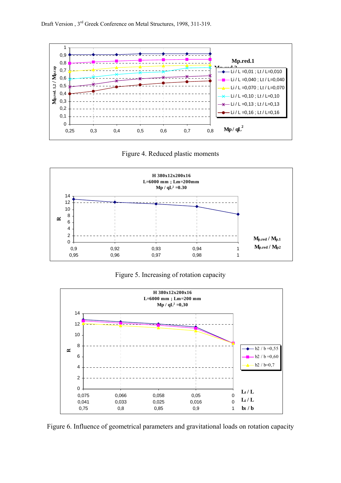

Figure 4. Reduced plastic moments



Figure 5. Increasing of rotation capacity



Figure 6. Influence of geometrical parameters and gravitational loads on rotation capacity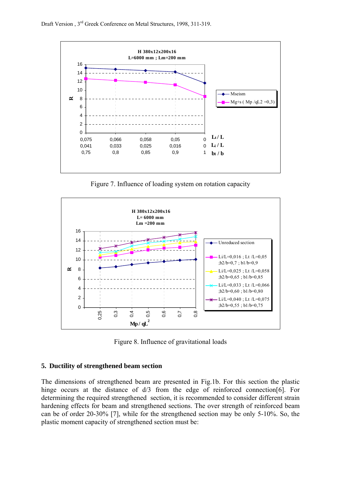

Figure 7. Influence of loading system on rotation capacity



Figure 8. Influence of gravitational loads

#### **5. Ductility of strengthened beam section**

The dimensions of strengthened beam are presented in Fig.1b. For this section the plastic hinge occurs at the distance of  $d/3$  from the edge of reinforced connection [6]. For determining the required strengthened section, it is recommended to consider different strain hardening effects for beam and strengthened sections. The over strength of reinforced beam can be of order 20-30% [7], while for the strengthened section may be only 5-10%. So, the plastic moment capacity of strengthened section must be: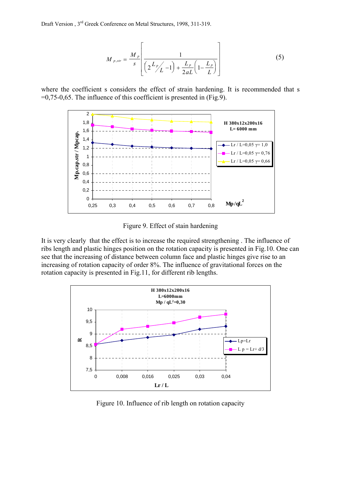Draft Version , 3rd Greek Conference on Metal Structures, 1998, 311-319.

$$
M_{p,str} = \frac{M_p}{s} \left[ \frac{1}{\left(2\frac{L_p}{L} - 1\right) + \frac{L_p}{2aL} \left(1 - \frac{L_p}{L}\right)} \right]
$$
(5)

where the coefficient s considers the effect of strain hardening. It is recommended that s =0,75-0,65. The influence of this coefficient is presented in (Fig.9).



Figure 9. Effect of stain hardening

It is very clearly that the effect is to increase the required strengthening . The influence of ribs length and plastic hinges position on the rotation capacity is presented in Fig.10. One can see that the increasing of distance between column face and plastic hinges give rise to an increasing of rotation capacity of order 8%. The influence of gravitational forces on the rotation capacity is presented in Fig.11, for different rib lengths.



Figure 10. Influence of rib length on rotation capacity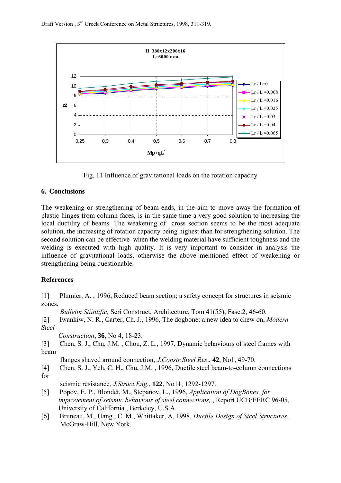

Fig. 11 Influence of gravitational loads on the rotation capacity

# **6. Conclusions**

The weakening or strengthening of beam ends, in the aim to move away the formation of plastic hinges from column faces, is in the same time a very good solution to increasing the local ductility of beams. The weakening of cross section seems to be the most adequate solution, the increasing of rotation capacity being highest than for strengthening solution. The second solution can be effective when the welding material have sufficient toughness and the welding is executed with high quality. It is very important to consider in analysis the influence of gravitational loads, otherwise the above mentioned effect of weakening or strengthening being questionable.

### **References**

[1] Plumier, A. , 1996, Reduced beam section; a safety concept for structures in seismic zones,

 *Bulletin Stiintific,* Seri Construct, Architecture, Tom 41(55), Fasc.2, 46-60.

[2] Iwankiw, N. R., Carter, Ch. J., 1996, The dogbone: a new idea to chew on, *Modern Steel*

*Construction*, **36**, No 4, 18-23.

[3] Chen, S. J., Chu, J.M. , Chou, Z. L., 1997, Dynamic behaviours of steel frames with beam

flanges shaved around connection, *J.Constr.Steel Res*., **42**, No1, 49-70.

[4] Chen, S. J., Yeh, C. H., Chu, J.M. , 1996, Ductile steel beam-to-column connections for

seismic resistance, *J.Struct.Eng*., **122**, No11, 1292-1297.

- [5] Popov, E. P., Blondet, M., Stepanov, L., 1996, *Application of DogBones for improvement of seismic behaviour of steel connections,* , Report UCB/EERC 96-05, University of California , Berkeley, U.S.A.
- [6] Bruneau, M., Uang., C. M., Whittaker, A, 1998, *Ductile Design of Steel Structures*, McGraw-Hill, New York.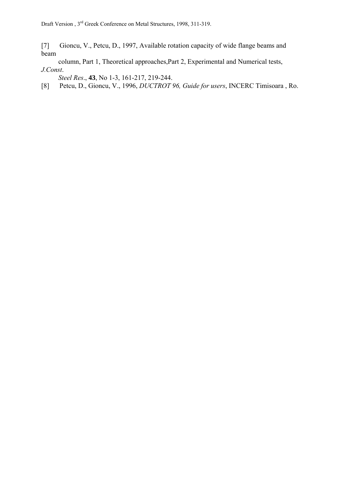[7] Gioncu, V., Petcu, D., 1997, Available rotation capacity of wide flange beams and beam

 column, Part 1, Theoretical approaches,Part 2, Experimental and Numerical tests, *J.Const*.

*Steel Res*., **43**, No 1-3, 161-217, 219-244.

[8] Petcu, D., Gioncu, V., 1996, *DUCTROT 96, Guide for users*, INCERC Timisoara , Ro.